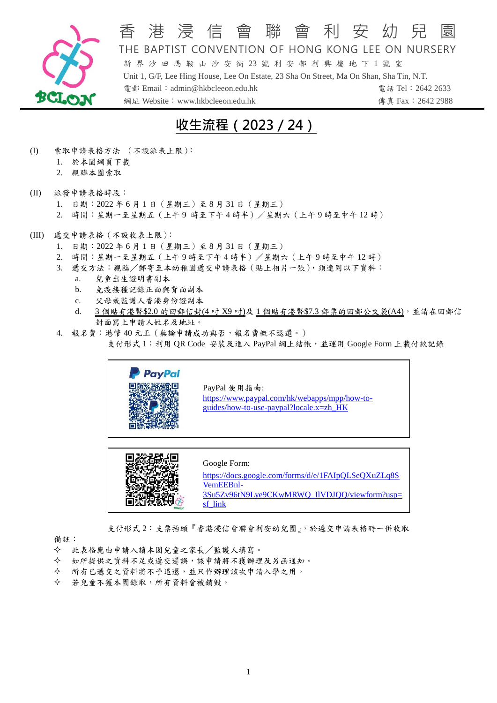

## 香 港 浸 信 會 聯 會 利 安 幼 兒 THE BAPTIST CONVENTION OF HONG KONG LEE ON NURSERY 新 界 沙 田 馬 鞍 山 沙 安 街 23 號 利 安 邨 利 興 樓 地 下 1 號 室 Unit 1, G/F, Lee Hing House, Lee On Estate, 23 Sha On Street, Ma On Shan, Sha Tin, N.T.

電郵 Email:admin@hkbcleeon.edu.hk 電話 Tel:2642 2633 網址 Website: www.hkbcleeon.edu.hk 傳真 Fax: 2642 2988

# **收生流程(2023/24)**

- (I) 索取申請表格方法 (不設派表上限):
	- 1. 於本園網頁下載
	- 2. 親臨本園索取
- (II) 派發申請表格時段:
	- 1. 日期:2022 年 6 月 1 日(星期三)至 8 月 31 日(星期三)
	- 2. 時間:星期一至星期五(上午9 時至下午4時半)/星期六(上午9時至中午 12 時)
- (III) 遞交申請表格(不設收表上限):
	- 1. 日期:2022 年 6 月 1 日(星期三)至 8 月 31 日(星期三)
	- 2. 時間:星期一至星期五(上午 9 時至下午 4 時半)/星期六(上午 9 時至中午 12 時)
	- 3. 遞交方法:親臨/郵寄至本幼稚園遞交申請表格(貼上相片一張),須連同以下資料:
		- a. 兒童出生證明書副本
		- b. 免疫接種記錄正面與背面副本
		- c. 父母或監護人香港身份證副本
		- d. 3 個貼有港幣\$2.0 的回郵信封(4 吋 X9 吋)及 1 個貼有港幣\$7.3 郵票的回郵公文袋(A4), 並請在回郵信 封面寫上申請人姓名及地址。
	- 4. 報名費:港幣 40 元正(無論申請成功與否,報名費概不退還。) 支付形式 1: 利用 QR Code 安裝及進入 PayPal 網上結帳,並運用 Google Form 上載付款記錄





支付形式 2:支票抬頭『香港浸信會聯會利安幼兒園』,於遞交申請表格時一併收取

備註:

- 此表格應由申請入讀本園兒童之家長/監護人填寫。
- 如所提供之資料不足或遞交遲誤,該申請將不獲辦理及另函通知。
- 所有已遞交之資料將不予退還,並只作辦理該次申請入學之用。
- 若兒童不獲本園錄取,所有資料會被銷毀。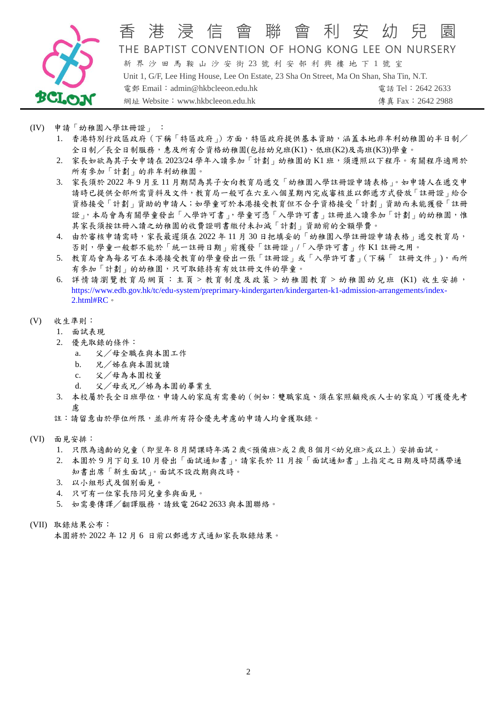

### 港 浸 信 會 聯 會 利 安 幼 THE BAPTIST CONVENTION OF HONG KONG LEE ON NURSERY 新 界 沙 田 馬 鞍 山 沙 安 街 23 號 利 安 邨 利 興 樓 地 下 1 號 室 Unit 1, G/F, Lee Hing House, Lee On Estate, 23 Sha On Street, Ma On Shan, Sha Tin, N.T. 電郵 Email:admin@hkbcleeon.edu.hk 電話 Tel:2642 2633

網址 Website: www.hkbcleeon.edu.hk 傳真 Fax: 2642 2988

- (IV) 申請「幼稚園入學註冊證」 :
	- 1. 香港特別行政區政府(下稱「特區政府」)方面,特區政府提供基本資助,涵蓋本地非牟利幼稚園的半日制/ 全日制/長全日制服務,惠及所有合資格幼稚園(包括幼兒班(K1)、低班(K2)及高班(K3))學童。
	- 2. 家長如欲為其子女申請在 2023/24 學年入讀參加「計劃」幼稚園的 K1 班, 須遵照以下程序。有關程序適用於 所有參加「計劃」的非牟利幼稚園。
	- 3. 家長須於 2022 年 9 月至 11 月期間為其子女向教育局遞交「幼稚園入學註冊證申請表格」。如申請人在遞交申 請時已提供全部所需資料及文件,教育局一般可在六至八個星期內完成審核並以郵遞方式發放「註冊證」給合 資格接受「計劃」資助的申請人;如學童可於本港接受教育但不合乎資格接受「計劃」資助而未能獲發「註冊 證」,本局會為有關學童發出「入學許可書」,學童可憑「入學許可書」註冊並入讀參加「計劃」的幼稚園,惟 其家長須按註冊入讀之幼稚園的收費證明書繳付未扣減「計劃」資助前的全額學費。
	- 4. 由於審核申請需時,家長最遲須在 2022 年 11 月 30 日把填妥的「幼稚園入學註冊證申請表格」遞交教育局, 否則,學童一般都不能於「統一註冊日期」前獲發「註冊證」/「入學許可書」作 K1 註冊之用。
	- 5. 教育局會為每名可在本港接受教育的學童發出一張「註冊證」或「入學許可書」(下稱「 註冊文件」),而所 有參加「計劃」的幼稚園,只可取錄持有有效註冊文件的學童。
	- 6. 詳情請瀏覽教育局網頁[:主頁](https://www.edb.gov.hk/tc/index.html) > [教育制度及政策](https://www.edb.gov.hk/tc/edu-system/list-page.html) > [幼稚園教育](https://www.edb.gov.hk/tc/edu-system/list-page.html) > [幼稚園幼兒班](https://www.edb.gov.hk/tc/edu-system/preprimary-kindergarten/kindergarten-k1-admission-arrangements/front.html) (K1) 收生安排, [https://www.edb.gov.hk/tc/edu-system/preprimary-kindergarten/kindergarten-k1-admission-arrangements/index-](https://www.edb.gov.hk/tc/edu-system/preprimary-kindergarten/kindergarten-k1-admission-arrangements/index-2.html#RC)[2.html#RC](https://www.edb.gov.hk/tc/edu-system/preprimary-kindergarten/kindergarten-k1-admission-arrangements/index-2.html#RC)。
- (V) 收生準則:
	- 1. 面試表現
	- 2. 優先取錄的條件:
		- a. 父/母全職在與本園工作
		- b. 兄/姊在與本園就讀
		- c. 父/母為本園校董
		- d. 父/母或兄/姊為本園的畢業生
	- 3. 本校屬於長全日班學位,申請人的家庭有需要的(例如:雙職家庭、須在家照顧殘疾人士的家庭)可獲優先考 慮
	- 註:請留意由於學位所限,並非所有符合優先考慮的申請人均會獲取錄。
- (VI) 面見安排:
	- 1. 只限為適齡的兒童(即翌年 8 月開課時年滿 2 歲<預備班>或 2 歲 8 個月<幼兒班>或以上)安排面試。
	- 2. 本園於 9 月下旬至 10 月發出「面試通知書」,請家長於 11 月按「面試通知書」上指定之日期及時間攜帶通 知書出席「新生面試」。面試不設改期與改時。
	- 3. 以小組形式及個别面見。
	- 4. 只可有一位家長陪同兒童參與面見。
	- 5. 如需要傳譯/翻譯服務,請致電 2642 2633 與本園聯絡。
- (VII) 取錄結果公布: 本園將於 2022 年 12 月 6 日前以郵遞方式通知家長取錄結果。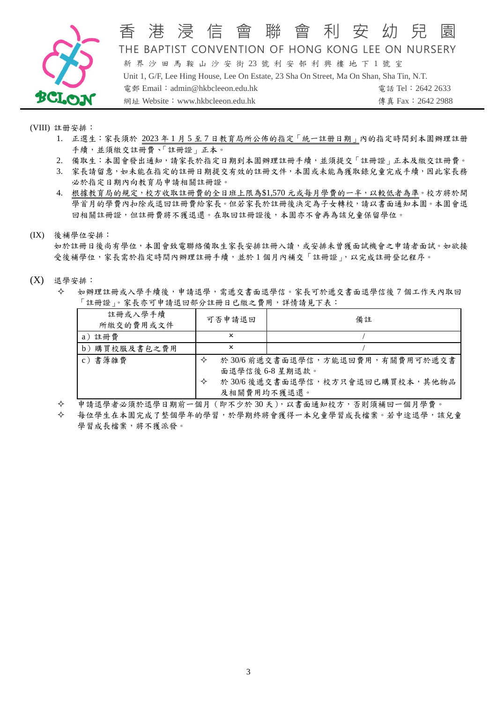

### 香港 渟 信 會 聯 會 利 安 幼 兒 THE BAPTIST CONVENTION OF HONG KONG LEE ON NURSERY 新 界 沙 田 馬 鞍 山 沙 安 街 23 號 利 安 邨 利 興 樓 地 下 1 號 室 Unit 1, G/F, Lee Hing House, Lee On Estate, 23 Sha On Street, Ma On Shan, Sha Tin, N.T. 電郵 Email:admin@hkbcleeon.edu.hk 電話 Tel:2642 2633

網址 Website:www.hkbcleeon.edu.hk 傳真 Fax:2642 2988

(VIII) 註册安排:

- 1. 正選生:家長須於 2023 年 1 月 5 至 7 日教育局所公佈的指定「統一註册日期」內的指定時間到本園辦理註册 手續,並須繳交註冊費、「註冊證」正本。
- 2. 備取生:本園會發出通知,請家長於指定日期到本園辦理註冊手續,並須提交「註冊證」正本及繳交註冊費。
- 3. 家長請留意,如未能在指定的註冊日期提交有效的註冊文件,本園或未能為獲取錄兒童完成手續,因此家長務 必於指定日期內向教育局申請相關註冊證。
- 4. 根據教育局的規定,校方收取註冊費的全日班上限為\$1,570元或每月學費的一半,以較低者為準。校方將於開 學首月的學費內扣除或退回註冊費給家長。但若家長於註冊後決定為子女轉校,請以書面通知本園。本園會退 回相關註冊證,但註冊費將不獲退還。在取回註冊證後,本園亦不會再為該兒童保留學位。
- (IX) 後補學位安排:

如於註冊日後尚有學位,本園會致電聯絡備取生家長安排註冊入讀,或安排未曾獲面試機會之申請者面試。如欲接 受後補學位,家長需於指定時間內辦理註冊手續,並於1個月內補交「註冊證」,以完成註冊登記程序。

- (X) 退學安排:
	- 如辦理註冊或入學手續後,申請退學,需遞交書面退學信。家長可於遞交書面退學信後 7 個工作天內取回 「註冊證」。家長亦可申請退回部分註冊日已繳之費用,詳情請見下表:

| 註冊或入學手續<br>所繳交的費用或文件 | 可否申請退回           | 備註                                                |
|----------------------|------------------|---------------------------------------------------|
| a) 註冊費               | x                |                                                   |
| b)購買校服及書包之費用         | x                |                                                   |
| c) 書簿雜費              | ✧                | 於30/6前遞交書面退學信,方能退回費用,有關費用可於遞交書<br>面退學信後 6-8 星期退款。 |
|                      | ✧<br>及相關費用均不獲退還。 | 於30/6後遞交書面退學信,校方只會退回已購買校本,其他物品                    |

申請退學者必須於退學日期前一個月(即不少於 30 天),以書面通知校方,否則須補回一個月學費。

 每位學生在本園完成了整個學年的學習,於學期終將會獲得一本兒童學習成長檔案。若中途退學,該兒童 學習成長檔案,將不獲派發。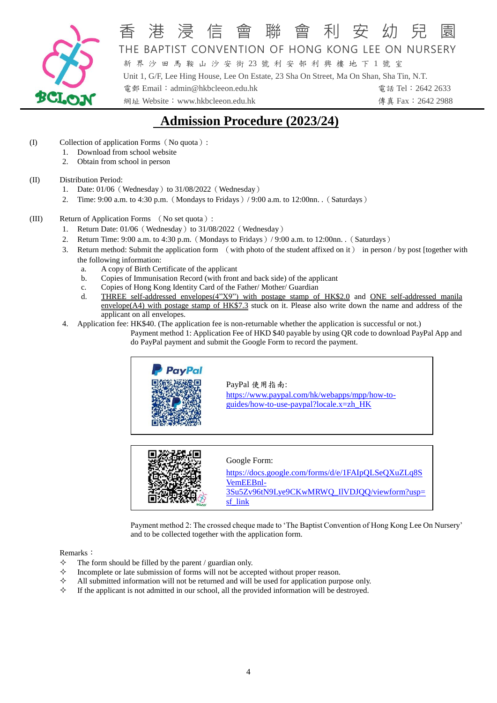

# 香 港 浸 信 會 聯 會 利 安 幼 兒 園 THE BAPTIST CONVENTION OF HONG KONG LEE ON NURSERY

新 界 沙 田 馬 鞍 山 沙 安 街 23 號 利 安 邨 利 興 樓 地 下 1 號 室 Unit 1, G/F, Lee Hing House, Lee On Estate, 23 Sha On Street, Ma On Shan, Sha Tin, N.T. 電郵 Email:admin@hkbcleeon.edu.hk 電話 Tel:2642 2633

網址 Website: www.hkbcleeon.edu.hk 傳真 Fax:2642 2988

# **Admission Procedure (2023/24)**

- (I) Collection of application Forms(No quota):
	- 1. Download from school website
	- 2. Obtain from school in person

#### (II) Distribution Period:

- 1. Date:  $01/06$  (Wednesday)to  $31/08/2022$  (Wednesday)
- 2. Time: 9:00 a.m. to 4:30 p.m.(Mondays to Fridays)/ 9:00 a.m. to 12:00nn. .(Saturdays)
- (III) Return of Application Forms (No set quota):
	- 1. Return Date: 01/06 (Wednesday) to 31/08/2022 (Wednesday)
	- 2. Return Time:  $9:00$  a.m. to  $4:30$  p.m. (Mondays to Fridays) /  $9:00$  a.m. to  $12:00$ nn. .(Saturdays)
	- 3. Return method: Submit the application form (with photo of the student affixed on it) in person / by post [together with the following information:
		- a. A copy of Birth Certificate of the applicant
		- b. Copies of Immunisation Record (with front and back side) of the applicant
		- c. Copies of Hong Kong Identity Card of the Father/ Mother/ Guardian
		- d. THREE self-addressed envelopes(4"X9") with postage stamp of HK\$2.0 and ONE self-addressed manila envelope(A4) with postage stamp of HK\$7.3 stuck on it. Please also write down the name and address of the applicant on all envelopes.
	- 4. Application fee: HK\$40. (The application fee is non-returnable whether the application is successful or not.) Payment method 1: Application Fee of HKD \$40 payable by using QR code to download PayPal App and do PayPal payment and submit the Google Form to record the payment.



PayPal 使用指南: [https://www.paypal.com/hk/webapps/mpp/how-to](https://www.paypal.com/hk/webapps/mpp/how-to-guides/how-to-use-paypal?locale.x=zh_HK)[guides/how-to-use-paypal?locale.x=zh\\_HK](https://www.paypal.com/hk/webapps/mpp/how-to-guides/how-to-use-paypal?locale.x=zh_HK)



#### Google Form:

[https://docs.google.com/forms/d/e/1FAIpQLSeQXuZLq8S](https://docs.google.com/forms/d/e/1FAIpQLSeQXuZLq8SVemEEBnl-3Su5Zv96tN9Lye9CKwMRWQ_IlVDJQQ/viewform?usp=sf_link) [VemEEBnl-](https://docs.google.com/forms/d/e/1FAIpQLSeQXuZLq8SVemEEBnl-3Su5Zv96tN9Lye9CKwMRWQ_IlVDJQQ/viewform?usp=sf_link)[3Su5Zv96tN9Lye9CKwMRWQ\\_IlVDJQQ/viewform?usp=](https://docs.google.com/forms/d/e/1FAIpQLSeQXuZLq8SVemEEBnl-3Su5Zv96tN9Lye9CKwMRWQ_IlVDJQQ/viewform?usp=sf_link) [sf\\_link](https://docs.google.com/forms/d/e/1FAIpQLSeQXuZLq8SVemEEBnl-3Su5Zv96tN9Lye9CKwMRWQ_IlVDJQQ/viewform?usp=sf_link)

Payment method 2: The crossed cheque made to 'The Baptist Convention of Hong Kong Lee On Nursery' and to be collected together with the application form.

#### Remarks:

- $\Diamond$  The form should be filled by the parent / guardian only.
- $\Diamond$  Incomplete or late submission of forms will not be accepted without proper reason.
- All submitted information will not be returned and will be used for application purpose only.
- $\Diamond$  If the applicant is not admitted in our school, all the provided information will be destroyed.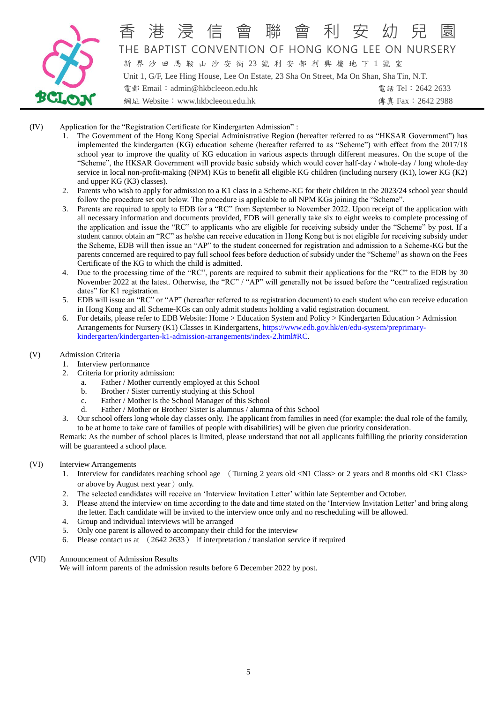

## 香 港 浸 信 會 聯 會 利 安 幼 兒 園 THE BAPTIST CONVENTION OF HONG KONG LEE ON NURSERY 新 界 沙 田 馬 鞍 山 沙 安 街 23 號 利 安 邨 利 興 樓 地 下 1 號 室

Unit 1, G/F, Lee Hing House, Lee On Estate, 23 Sha On Street, Ma On Shan, Sha Tin, N.T. 電郵 Email:admin@hkbcleeon.edu.hk 電話 Tel:2642 2633 網址 Website:www.hkbcleeon.edu.hk 傳真 Fax:2642 2988

- (IV) Application for the "Registration Certificate for Kindergarten Admission" :
	- 1. The Government of the Hong Kong Special Administrative Region (hereafter referred to as "HKSAR Government") has implemented the kindergarten (KG) education scheme (hereafter referred to as "Scheme") with effect from the 2017/18 school year to improve the quality of KG education in various aspects through different measures. On the scope of the "Scheme", the HKSAR Government will provide basic subsidy which would cover half-day / whole-day / long whole-day service in local non-profit-making (NPM) KGs to benefit all eligible KG children (including nursery (K1), lower KG (K2) and upper KG (K3) classes).
	- 2. Parents who wish to apply for admission to a K1 class in a Scheme-KG for their children in the 2023/24 school year should follow the procedure set out below. The procedure is applicable to all NPM KGs joining the "Scheme".
	- 3. Parents are required to apply to EDB for a "RC" from September to November 2022. Upon receipt of the application with all necessary information and documents provided, EDB will generally take six to eight weeks to complete processing of the application and issue the "RC" to applicants who are eligible for receiving subsidy under the "Scheme" by post. If a student cannot obtain an "RC" as he/she can receive education in Hong Kong but is not eligible for receiving subsidy under the Scheme, EDB will then issue an "AP" to the student concerned for registration and admission to a Scheme-KG but the parents concerned are required to pay full school fees before deduction of subsidy under the "Scheme" as shown on the Fees Certificate of the KG to which the child is admitted.
	- 4. Due to the processing time of the "RC", parents are required to submit their applications for the "RC" to the EDB by 30 November 2022 at the latest. Otherwise, the "RC" / "AP" will generally not be issued before the "centralized registration dates" for K1 registration.
	- 5. EDB will issue an "RC" or "AP" (hereafter referred to as registration document) to each student who can receive education in Hong Kong and all Scheme-KGs can only admit students holding a valid registration document.
	- 6. For details, please refer to EDB Website[: Home](https://www.edb.gov.hk/en/index.html) > [Education System and Policy](https://www.edb.gov.hk/en/edu-system/list-page.html) > [Kindergarten Education](https://www.edb.gov.hk/en/edu-system/list-page.html) > [Admission](https://www.edb.gov.hk/en/edu-system/preprimary-kindergarten/kindergarten-k1-admission-arrangements/front.html)  [Arrangements for Nursery \(K1\) Classes in Kindergartens,](https://www.edb.gov.hk/en/edu-system/preprimary-kindergarten/kindergarten-k1-admission-arrangements/front.html) [https://www.edb.gov.hk/en/edu-system/preprimary](https://www.edb.gov.hk/en/edu-system/preprimary-kindergarten/kindergarten-k1-admission-arrangements/index-2.html#RC)[kindergarten/kindergarten-k1-admission-arrangements/index-2.html#RC.](https://www.edb.gov.hk/en/edu-system/preprimary-kindergarten/kindergarten-k1-admission-arrangements/index-2.html#RC)
- (V) Admission Criteria
	- 1. Interview performance
	- 2. Criteria for priority admission:
		- a. Father / Mother currently employed at this School
		- b. Brother / Sister currently studying at this School
		- c. Father / Mother is the School Manager of this School
		- d. Father / Mother or Brother/ Sister is alumnus / alumna of this School
	- 3. Our school offers long whole day classes only. The applicant from families in need (for example: the dual role of the family, to be at home to take care of families of people with disabilities) will be given due priority consideration.

Remark: As the number of school places is limited, please understand that not all applicants fulfilling the priority consideration will be guaranteed a school place.

#### (VI) Interview Arrangements

- 1. Interview for candidates reaching school age (Turning 2 years old <N1 Class> or 2 years and 8 months old <K1 Class> or above by August next year  $)$  only.
- 2. The selected candidates will receive an 'Interview Invitation Letter' within late September and October.
- 3. Please attend the interview on time according to the date and time stated on the 'Interview Invitation Letter' and bring along the letter. Each candidate will be invited to the interview once only and no rescheduling will be allowed.
- 4. Group and individual interviews will be arranged
- 5. Only one parent is allowed to accompany their child for the interview
- 6. Please contact us at (2642 2633) if interpretation / translation service if required

#### (VII) Announcement of Admission Results

We will inform parents of the admission results before 6 December 2022 by post.